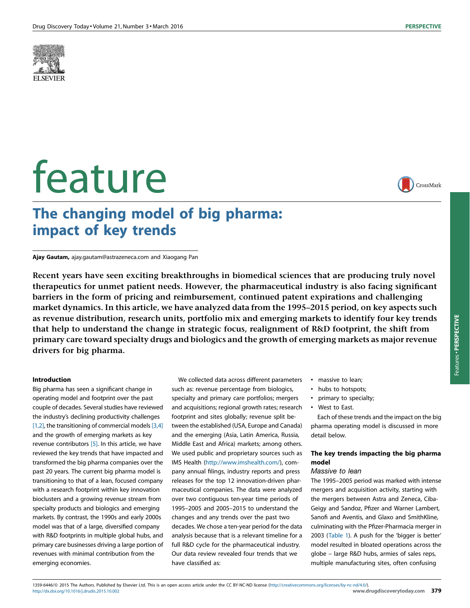

# feature



Features -

PERSPECTIVE

Features . PERSPECTIVE

# The changing model of big pharma: impact of key trends

Ajay Gautam, ajay.gautam@astrazeneca.com and Xiaogang Pan

Recent years have seen exciting breakthroughs in biomedical sciences that are producing truly novel therapeutics for unmet patient needs. However, the pharmaceutical industry is also facing significant barriers in the form of pricing and reimbursement, continued patent expirations and challenging market dynamics. In this article, we have analyzed data from the 1995–2015 period, on key aspects such as revenue distribution, research units, portfolio mix and emerging markets to identify four key trends that help to understand the change in strategic focus, realignment of R&D footprint, the shift from primary care toward specialty drugs and biologics and the growth of emerging markets as major revenue drivers for big pharma.

# Introduction

Big pharma has seen a significant change in operating model and footprint over the past couple of decades. Several studies have reviewed the industry's declining productivity challenges [\[1,2\]](#page-5-0), the transitioning of commercial models  $[3,4]$ and the growth of emerging markets as key revenue contributors [\[5\]](#page-5-0). In this article, we have reviewed the key trends that have impacted and transformed the big pharma companies over the past 20 years. The current big pharma model is transitioning to that of a lean, focused company with a research footprint within key innovation bioclusters and a growing revenue stream from specialty products and biologics and emerging markets. By contrast, the 1990s and early 2000s model was that of a large, diversified company with R&D footprints in multiple global hubs, and primary care businesses driving a large portion of revenues with minimal contribution from the emerging economies.

We collected data across different parameters

such as: revenue percentage from biologics, specialty and primary care portfolios; mergers and acquisitions; regional growth rates; research footprint and sites globally; revenue split between the established (USA, Europe and Canada) and the emerging (Asia, Latin America, Russia, Middle East and Africa) markets; among others. We used public and proprietary sources such as IMS Health ([http://www.imshealth.com/\)](http://www.imshealth.com/), company annual filings, industry reports and press releases for the top 12 innovation-driven pharmaceutical companies. The data were analyzed over two contiguous ten-year time periods of 1995–2005 and 2005–2015 to understand the changes and any trends over the past two decades. We chose a ten-year period for the data analysis because that is a relevant timeline for a full R&D cycle for the pharmaceutical industry. Our data review revealed four trends that we have classified as:

- massive to lean;
- hubs to hotspots;
- primary to specialty;
- West to East.

Each of these trends and the impact on the big pharma operating model is discussed in more detail below.

# The key trends impacting the big pharma model

# Massive to lean

The 1995–2005 period was marked with intense mergers and acquisition activity, starting with the mergers between Astra and Zeneca, Ciba-Geigy and Sandoz, Pfizer and Warner Lambert, Sanofi and Aventis, and Glaxo and SmithKline, culminating with the Pfizer-Pharmacia merger in 2003 ([Table](#page-1-0) 1). A push for the 'bigger is better' model resulted in bloated operations across the globe – large R&D hubs, armies of sales reps, multiple manufacturing sites, often confusing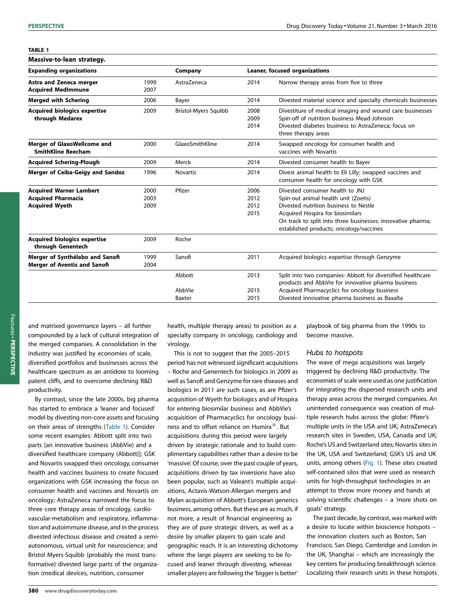<span id="page-1-0"></span>

| Massive-to-lean strategy.                                                            |                      |                             |                               |                                                                                                                                                                                                                                                                |
|--------------------------------------------------------------------------------------|----------------------|-----------------------------|-------------------------------|----------------------------------------------------------------------------------------------------------------------------------------------------------------------------------------------------------------------------------------------------------------|
| <b>Expanding organizations</b>                                                       |                      | Company                     | Leaner, focused organizations |                                                                                                                                                                                                                                                                |
| <b>Astra and Zeneca merger</b><br><b>Acquired MedImmune</b>                          | 1999<br>2007         | AstraZeneca                 | 2014                          | Narrow therapy areas from five to three                                                                                                                                                                                                                        |
| <b>Merged with Schering</b>                                                          | 2006                 | Bayer                       | 2014                          | Divested material science and specialty chemicals businesses                                                                                                                                                                                                   |
| <b>Acquired biologics expertise</b><br>through Medarex                               | 2009                 | <b>Bristol-Myers Squibb</b> | 2008<br>2009<br>2014          | Divestiture of medical imaging and wound care businesses<br>Spin-off of nutrition business Mead-Johnson<br>Divested diabetes business to AstraZeneca: focus on<br>three therapy areas                                                                          |
| <b>Merger of GlaxoWellcome and</b><br><b>SmithKline Beecham</b>                      | 2000                 | GlaxoSmithKline             | 2014                          | Swapped oncology for consumer health and<br>vaccines with Novartis                                                                                                                                                                                             |
| <b>Acquired Schering-Plough</b>                                                      | 2009                 | Merck                       | 2014                          | Divested consumer health to Bayer                                                                                                                                                                                                                              |
| <b>Merger of Ceiba-Geigy and Sandoz</b>                                              | 1996                 | <b>Novartis</b>             | 2014                          | Divest animal health to Eli Lilly; swapped vaccines and<br>consumer health for oncology with GSK                                                                                                                                                               |
| <b>Acquired Warner Lambert</b><br><b>Acquired Pharmacia</b><br><b>Acquired Wyeth</b> | 2000<br>2003<br>2009 | Pfizer                      | 2006<br>2012<br>2012<br>2015  | Divested consumer health to JNJ<br>Spin-out animal health unit (Zoetis)<br>Divested nutrition business to Nestle<br>Acquired Hospira for biosimilars<br>On track to split into three businesses: innovative pharma;<br>established products; oncology/vaccines |
| <b>Acquired biologics expertise</b><br>through Genentech                             | 2009                 | Roche                       |                               |                                                                                                                                                                                                                                                                |
| Merger of Synthélabo and Sanofi<br><b>Merger of Aventis and Sanofi</b>               | 1999<br>2004         | Sanofi                      | 2011                          | Acquired biologics expertise through Genzyme                                                                                                                                                                                                                   |
|                                                                                      |                      | Abbott                      | 2013                          | Split into two companies: Abbott for diversified healthcare<br>products and AbbVie for innovative pharma business                                                                                                                                              |
|                                                                                      |                      | AbbVie                      | 2015                          | Acquired Pharmacyclics for oncology business                                                                                                                                                                                                                   |
|                                                                                      |                      | Baxter                      | 2015                          | Divested innovative pharma business as Baxalta                                                                                                                                                                                                                 |

and matrixed governance layers – all further compounded by a lack of cultural integration of the merged companies. A consolidation in the industry was justified by economies of scale, diversified portfolios and businesses across the healthcare spectrum as an antidote to looming patent cliffs, and to overcome declining R&D productivity.

By contrast, since the late 2000s, big pharma has started to embrace a 'leaner and focused' model by divesting non-core assets and focusing on their areas of strengths (Table 1). Consider some recent examples: Abbott split into two parts [an innovative business (AbbVie) and a diversified healthcare company (Abbott)]; GSK and Novartis swapped their oncology, consumer health and vaccines business to create focused organizations with GSK increasing the focus on consumer health and vaccines and Novartis on oncology; AstraZeneca narrowed the focus to three core therapy areas of oncology, cardiovascular-metabolism and respiratory, inflammation and autoimmune disease, and in the process divested infectious disease and created a semiautonomous, virtual unit for neuroscience; and Bristol Myers-Squibb (probably the most transformative) divested large parts of the organization (medical devices, nutrition, consumer

health, multiple therapy areas) to position as a specialty company in oncology, cardiology and virology.

This is not to suggest that the 2005–2015 period has not witnessed significant acquisitions – Roche and Genentech for biologics in 2009 as well as Sanofi and Genzyme for rare diseases and biologics in 2011 are such cases, as are Pfizer's acquisition of Wyeth for biologics and of Hospira for entering biosimilar business and AbbVie's acquisition of Pharmacyclics for oncology business and to offset reliance on Humira $^{\circledR}$ . But acquisitions during this period were largely driven by strategic rationale and to build complimentary capabilities rather than a desire to be 'massive'. Of course, over the past couple of years, acquisitions driven by tax inversions have also been popular, such as Valeant's multiple acquisitions, Actavis-Watson-Allergan mergers and Mylan acquisition of Abbott's European generics business, among others. But these are as much, if not more, a result of financial engineering as they are of pure strategic drivers, as well as a desire by smaller players to gain scale and geographic reach. It is an interesting dichotomy where the large players are seeking to be focused and leaner through divesting, whereas smaller players are following the 'bigger is better'

playbook of big pharma from the 1990s to become massive.

### Hubs to hotspots

The wave of mega acquisitions was largely triggered by declining R&D productivity. The economies of scale were used as one justification for integrating the dispersed research units and therapy areas across the merged companies. An unintended consequence was creation of multiple research hubs across the globe: Pfizer's multiple units in the USA and UK; AstraZeneca's research sites in Sweden, USA, Canada and UK; Roche's US and Switzerland sites; Novartis sites in the UK, USA and Switzerland; GSK's US and UK units, among others [\(Fig.](#page-2-0) 1). These sites created self-contained silos that were used as research units for high-throughput technologies in an attempt to throw more money and hands at solving scientific challenges – a 'more shots on goals' strategy.

The past decade, by contrast, was marked with a desire to locate within bioscience hotspots – the innovation clusters such as Boston, San Francisco, San Diego, Cambridge and London in the UK, Shanghai – which are increasingly the key centers for producing breakthrough science. Localizing their research units in these hotspots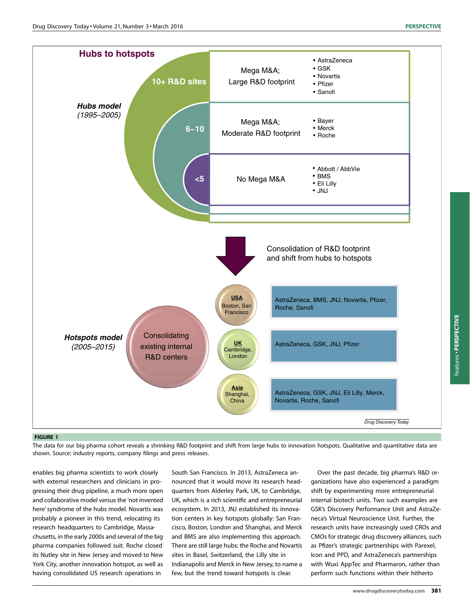<span id="page-2-0"></span>

#### FIGURE 1

The data for our big pharma cohort reveals a shrinking R&D footprint and shift from large hubs to innovation hotspots. Qualitative and quantitative data are shown. Source: industry reports, company filings and press releases.

enables big pharma scientists to work closely with external researchers and clinicians in progressing their drug pipeline, a much more open and collaborative model versus the 'not invented here'syndrome of the hubs model. Novartis was probably a pioneer in this trend, relocating its research headquarters to Cambridge, Massachusetts, in the early 2000s and several of the big pharma companies followed suit. Roche closed its Nutley site in New Jersey and moved to New York City, another innovation hotspot, as well as having consolidated US research operations in

South San Francisco. In 2013, AstraZeneca announced that it would move its research headquarters from Alderley Park, UK, to Cambridge, UK, which is a rich scientific and entrepreneurial ecosystem. In 2013, JNJ established its innovation centers in key hotspots globally: San Francisco, Boston, London and Shanghai, and Merck and BMS are also implementing this approach. There are still large hubs: the Roche and Novartis sites in Basel, Switzerland, the Lilly site in Indianapolis and Merck in New Jersey, to name a few, but the trend toward hotspots is clear.

Over the past decade, big pharma's R&D organizations have also experienced a paradigm shift by experimenting more entrepreneurial internal biotech units. Two such examples are GSK's Discovery Performance Unit and AstraZeneca's Virtual Neuroscience Unit. Further, the research units have increasingly used CROs and CMOs for strategic drug discovery alliances, such as Pfizer's strategic partnerships with Parexel, Icon and PPD, and AstraZeneca's partnerships with Wuxi AppTec and Pharmaron, rather than perform such functions within their hitherto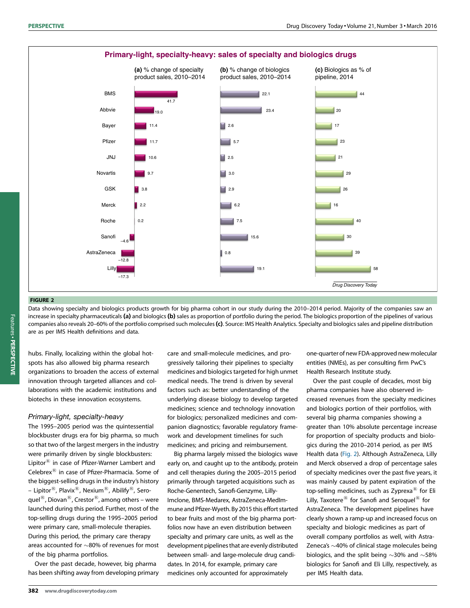

# FIGURE 2

Data showing specialty and biologics products growth for big pharma cohort in our study during the 2010–2014 period. Majority of the companies saw an increase in specialty pharmaceuticals (a) and biologics (b) sales as proportion of portfolio during the period. The biologics proportion of the pipelines of various companies also reveals 20-60% of the portfolio comprised such molecules (c). Source: IMS Health Analytics. Specialty and biologics sales and pipeline distribution are as per IMS Health definitions and data.

hubs. Finally, localizing within the global hotspots has also allowed big pharma research organizations to broaden the access of external innovation through targeted alliances and collaborations with the academic institutions and biotechs in these innovation ecosystems.

# Primary-light, specialty-heavy

The 1995–2005 period was the quintessential blockbuster drugs era for big pharma, so much so that two of the largest mergers in the industry were primarily driven by single blockbusters: Lipitor $^{\circledR}$  in case of Pfizer-Warner Lambert and Celebrex $^{\circledR}$  in case of Pfizer-Pharmacia. Some of the biggest-selling drugs in the industry's history – Lipitor $^{(8)}$ , Plavix $^{(8)}$ , Nexium $^{(8)}$ , Abilify $^{(8)}$ , Seroquel $^{(8)}$ , Diovan $^{(8)}$ , Crestor $^{(8)}$ , among others – were launched during this period. Further, most of the top-selling drugs during the 1995–2005 period were primary care, small-molecule therapies. During this period, the primary care therapy areas accounted for  $\sim$ 80% of revenues for most of the big pharma portfolios.

Over the past decade, however, big pharma has been shifting away from developing primary care and small-molecule medicines, and progressively tailoring their pipelines to specialty medicines and biologics targeted for high unmet medical needs. The trend is driven by several factors such as: better understanding of the underlying disease biology to develop targeted medicines; science and technology innovation for biologics; personalized medicines and companion diagnostics; favorable regulatory framework and development timelines for such medicines; and pricing and reimbursement.

Big pharma largely missed the biologics wave early on, and caught up to the antibody, protein and cell therapies during the 2005–2015 period primarily through targeted acquisitions such as Roche-Genentech, Sanofi-Genzyme, Lilly-Imclone, BMS-Medarex, AstraZeneca-MedImmune and Pfizer-Wyeth. By 2015 this effort started to bear fruits and most of the big pharma portfolios now have an even distribution between specialty and primary care units, as well as the development pipelines that are evenly distributed between small- and large-molecule drug candidates. In 2014, for example, primary care medicines only accounted for approximately

one-quarter of new FDA-approved new molecular entities (NMEs), as per consulting firm PwC's Health Research Institute study.

Over the past couple of decades, most big pharma companies have also observed increased revenues from the specialty medicines and biologics portion of their portfolios, with several big pharma companies showing a greater than 10% absolute percentage increase for proportion of specialty products and biologics during the 2010–2014 period, as per IMS Health data (Fig. 2). Although AstraZeneca, Lilly and Merck observed a drop of percentage sales of specialty medicines over the past five years, it was mainly caused by patent expiration of the top-selling medicines, such as Zyprexa $^{\circledR}$  for Eli Lilly, Taxotere<sup>®</sup> for Sanofi and Seroquel<sup>®</sup> for AstraZeneca. The development pipelines have clearly shown a ramp-up and increased focus on specialty and biologic medicines as part of overall company portfolios as well, with Astra-Zeneca's  $\sim$ 40% of clinical stage molecules being biologics, and the split being  $\sim$ 30% and  $\sim$ 58% biologics for Sanofi and Eli Lilly, respectively, as per IMS Health data.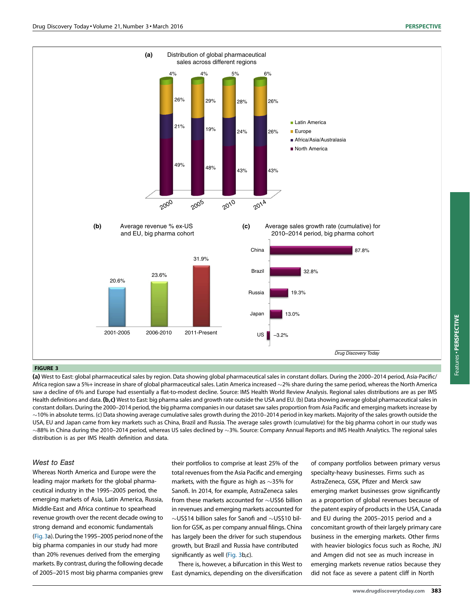

### FIGURE 3

(a) West to East: global pharmaceutical sales by region. Data showing global pharmaceutical sales in constant dollars. During the 2000-2014 period, Asia-Pacific/ Africa region saw a 5%+ increase in share of global pharmaceutical sales. Latin America increased  $\sim$ 2% share during the same period, whereas the North America saw a decline of 6% and Europe had essentially a flat-to-modest decline. Source: IMS Health World Review Analysis. Regional sales distributions are as per IMS Health definitions and data. (b,c) West to East: big pharma sales and growth rate outside the USA and EU. (b) Data showing average global pharmaceutical sales in constant dollars. During the 2000–2014 period, the big pharma companies in our dataset saw sales proportion from Asia Pacific and emerging markets increase by  $\sim$ 10% in absolute terms. (c) Data showing average cumulative sales growth during the 2010–2014 period in key markets. Majority of the sales growth outside the USA, EU and Japan came from key markets such as China, Brazil and Russia. The average sales growth (cumulative) for the big pharma cohort in our study was  $\sim$ 88% in China during the 2010–2014 period, whereas US sales declined by  $\sim$ 3%. Source: Company Annual Reports and IMS Health Analytics. The regional sales distribution is as per IMS Health definition and data.

# West to East

Whereas North America and Europe were the leading major markets for the global pharmaceutical industry in the 1995–2005 period, the emerging markets of Asia, Latin America, Russia, Middle-East and Africa continue to spearhead revenue growth over the recent decade owing to strong demand and economic fundamentals (Fig. 3a). During the 1995-2005 period none of the big pharma companies in our study had more than 20% revenues derived from the emerging markets. By contrast, during the following decade of 2005–2015 most big pharma companies grew their portfolios to comprise at least 25% of the total revenues from the Asia Pacific and emerging markets, with the figure as high as  $\sim$ 35% for Sanofi. In 2014, for example, AstraZeneca sales from these markets accounted for  $\sim$  US\$6 billion in revenues and emerging markets accounted for  $\sim$ US\$14 billion sales for Sanofi and  $\sim$ US\$10 billion for GSK, as per company annual filings. China has largely been the driver for such stupendous growth, but Brazil and Russia have contributed significantly as well (Fig. 3b,c).

There is, however, a bifurcation in this West to East dynamics, depending on the diversification

of company portfolios between primary versus specialty-heavy businesses. Firms such as AstraZeneca, GSK, Pfizer and Merck saw emerging market businesses grow significantly as a proportion of global revenues because of the patent expiry of products in the USA, Canada and EU during the 2005–2015 period and a concomitant growth of their largely primary care business in the emerging markets. Other firms with heavier biologics focus such as Roche, JNJ and Amgen did not see as much increase in emerging markets revenue ratios because they did not face as severe a patent cliff in North